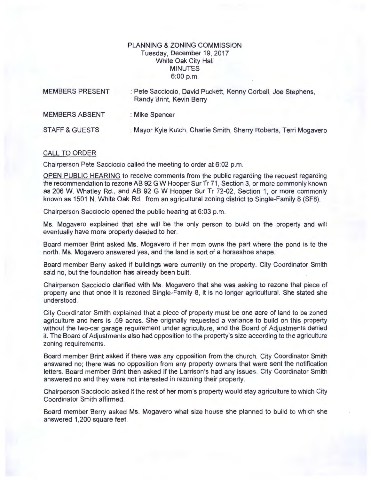## PLANNING & ZONING COMMISSION Tuesday, December 19, 2017 White Oak City Hall MINUTES 6:00p.m.

| <b>MEMBERS PRESENT</b>    | : Pete Sacciocio, David Puckett, Kenny Corbell, Joe Stephens,<br>Randy Brint, Kevin Berry |
|---------------------------|-------------------------------------------------------------------------------------------|
| <b>MEMBERS ABSENT</b>     | : Mike Spencer                                                                            |
| <b>STAFF &amp; GUESTS</b> | : Mayor Kyle Kutch, Charlie Smith, Sherry Roberts, Terri Mogavero                         |

## CALL TO ORDER

Chairperson Pete Sacciocio called the meeting to order at 6:02 p.m.

OPEN PUBLIC HEARING to receive comments from the public regarding the request regarding the recommendation to rezone AB 92 G W Hooper Sur Tr 71 , Section 3, or more commonly known as 206 W. Whatley Rd. , and AB 92 G W Hooper Sur Tr 72-02, Section 1, or more commonly known as 1501 N. White Oak Rd., from an agricultural zoning district to Single-Family 8 (SF8).

Chairperson Sacciocio opened the public hearing at 6:03 p.m.

Ms. Mogavero explained that she will be the only person to build on the property and will eventually have more property deeded to her.

Board member Brint asked Ms. Mogavero if her mom owns the part where the pond is to the north. Ms. Mogavero answered yes, and the land is sort of a horseshoe shape.

Board member Berry asked if buildings were currently on the property. City Coordinator Smith said no, but the foundation has already been built.

Chairperson Sacciocio clarified with Ms. Mogavero that she was asking to rezone that piece of property and that once it is rezoned Single-Family 8, it is no longer agricultural. She stated she understood.

City Coordinator Smith explained that a piece of property must be one acre of land to be zoned agriculture and hers is .59 acres. She originally requested a variance to build on this property without the two-car garage requirement under agriculture, and the Board of Adjustments denied it. The Board of Adjustments also had opposition to the property's size according to the agriculture zoning requirements.

Board member Brint asked if there was any opposition from the church. City Coordinator Smith answered no; there was no opposition from any property owners that were sent the notification letters. Board member Brint then asked if the Larrison's had any issues. City Coordinator Smith answered no and they were not interested in rezoning their property.

Chairperson Sacciocio asked if the rest of her mom's property would stay agriculture to which City Coordinator Smith affirmed.

Board member Berry asked Ms. Mogavero what size house she planned to build to which she answered 1,200 square feet.